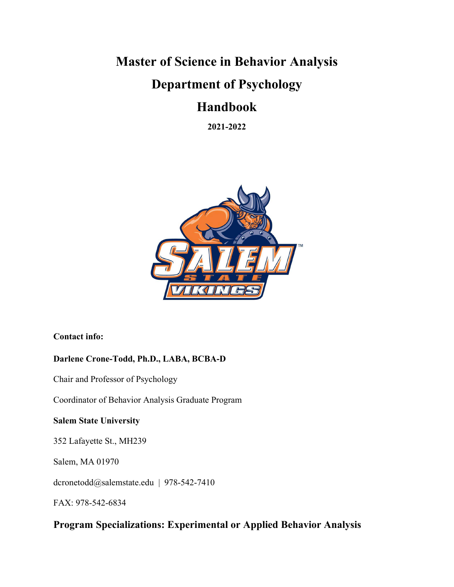# **Master of Science in Behavior Analysis Department of Psychology**

# **Handbook**

**2021-2022**



# **Contact info:**

# **Darlene Crone-Todd, Ph.D., LABA, BCBA-D**

Chair and Professor of Psychology

Coordinator of Behavior Analysis Graduate Program

# **Salem State University**

352 Lafayette St., MH239

Salem, MA 01970

dcronetodd@salemstate.edu | 978-542-7410

FAX: 978-542-6834

# **Program Specializations: Experimental or Applied Behavior Analysis**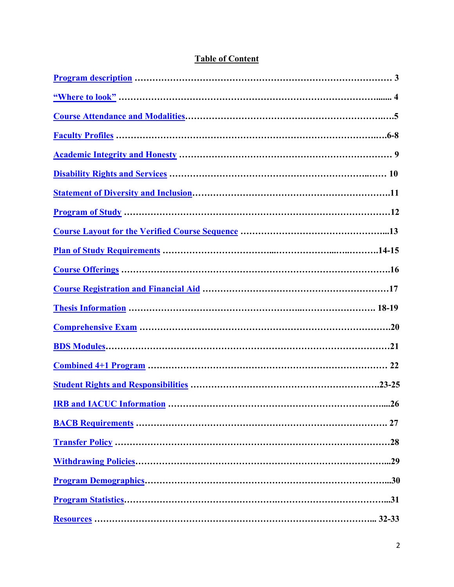|  |  |  | <b>Table of Content</b> |  |
|--|--|--|-------------------------|--|
|  |  |  |                         |  |

| <b>IRB and IACUC Information </b><br>.26 |  |
|------------------------------------------|--|
|                                          |  |
|                                          |  |
|                                          |  |
|                                          |  |
|                                          |  |
|                                          |  |
|                                          |  |
|                                          |  |
|                                          |  |
|                                          |  |
|                                          |  |
|                                          |  |
|                                          |  |
|                                          |  |
|                                          |  |
|                                          |  |
|                                          |  |
|                                          |  |
|                                          |  |
|                                          |  |
|                                          |  |
|                                          |  |
|                                          |  |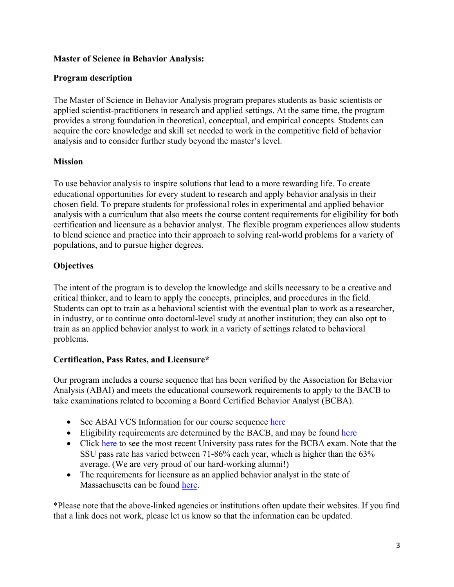# **Master of Science in Behavior Analysis:**

# <span id="page-2-0"></span>**Program description**

The Master of Science in Behavior Analysis program prepares students as basic scientists or applied scientist-practitioners in research and applied settings. At the same time, the program provides a strong foundation in theoretical, conceptual, and empirical concepts. Students can acquire the core knowledge and skill set needed to work in the competitive field of behavior analysis and to consider further study beyond the master's level.

# **Mission**

To use behavior analysis to inspire solutions that lead to a more rewarding life. To create educational opportunities for every student to research and apply behavior analysis in their chosen field. To prepare students for professional roles in experimental and applied behavior analysis with a curriculum that also meets the course content requirements for eligibility for both certification and licensure as a behavior analyst. The flexible program experiences allow students to blend science and practice into their approach to solving real-world problems for a variety of populations, and to pursue higher degrees.

# **Objectives**

The intent of the program is to develop the knowledge and skills necessary to be a creative and critical thinker, and to learn to apply the concepts, principles, and procedures in the field. Students can opt to train as a behavioral scientist with the eventual plan to work as a researcher, in industry, or to continue onto doctoral-level study at another institution; they can also opt to train as an applied behavior analyst to work in a variety of settings related to behavioral problems.

# **Certification, Pass Rates, and Licensure\***

Our program includes a course sequence that has been verified by the Association for Behavior Analysis (ABAI) and meets the educational coursework requirements to apply to the BACB to take examinations related to becoming a Board Certified Behavior Analyst (BCBA).

- See ABAI VCS Information for our course sequence [here](https://www.abainternational.org/vcs/directory/course-sequence-information.aspx?csid=11101ab5-8105-ea11-812e-000c29a8e632&pid=00000000-0000-0000-0000-000000000000&cl=&moi=)
- Eligibility requirements are determined by the BACB, and may be found [here](https://www.bacb.com/bcba/)
- Click [here](https://www.bacb.com/university-pass-rates/) to see the most recent University pass rates for the BCBA exam. Note that the SSU pass rate has varied between 71-86% each year, which is higher than the 63% average. (We are very proud of our hard-working alumni!)
- The requirements for licensure as an applied behavior analyst in the state of Massachusetts can be found [here.](https://www.mass.gov/regulations/262-CMR-10-requirements-for-licensure-as-an-applied-behavior-analyst-and-assistant)

\*Please note that the above-linked agencies or institutions often update their websites. If you find that a link does not work, please let us know so that the information can be updated.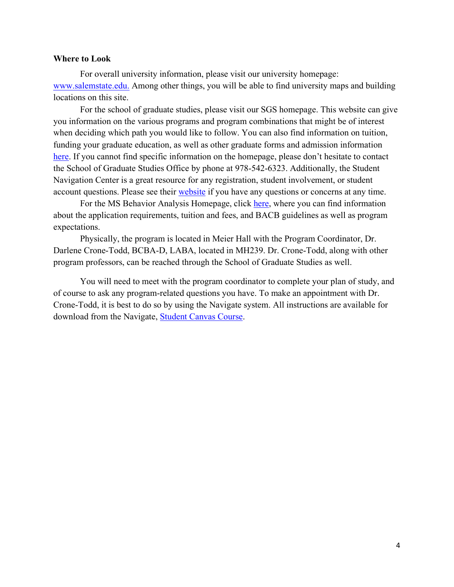#### <span id="page-3-0"></span>**Where to Look**

For overall university information, please visit our university homepage: [www.salemstate.edu.](http://www.salemstate.edu/) Among other things, you will be able to find university maps and building locations on this site.

For the school of graduate studies, please visit our SGS homepage. This website can give you information on the various programs and program combinations that might be of interest when deciding which path you would like to follow. You can also find information on tuition, funding your graduate education, as well as other graduate forms and admission information [here.](https://www.salemstate.edu/academics/school-graduate-studies) If you cannot find specific information on the homepage, please don't hesitate to contact the School of Graduate Studies Office by phone at 978-542-6323. Additionally, the Student Navigation Center is a great resource for any registration, student involvement, or student account questions. Please see their [website](https://www.salemstate.edu/campus-life/student-navigation-center) if you have any questions or concerns at any time.

For the MS Behavior Analysis Homepage, click [here,](https://www.salemstate.edu/academics/college-arts-and-sciences/psychology) where you can find information about the application requirements, tuition and fees, and BACB guidelines as well as program expectations.

Physically, the program is located in Meier Hall with the Program Coordinator, Dr. Darlene Crone-Todd, BCBA-D, LABA, located in MH239. Dr. Crone-Todd, along with other program professors, can be reached through the School of Graduate Studies as well.

You will need to meet with the program coordinator to complete your plan of study, and of course to ask any program-related questions you have. To make an appointment with Dr. Crone-Todd, it is best to do so by using the Navigate system. All instructions are available for download from the Navigate, **Student Canvas Course**.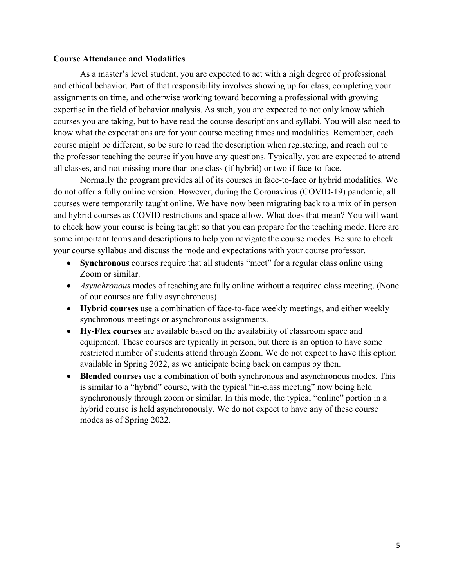#### <span id="page-4-0"></span>**Course Attendance and Modalities**

As a master's level student, you are expected to act with a high degree of professional and ethical behavior. Part of that responsibility involves showing up for class, completing your assignments on time, and otherwise working toward becoming a professional with growing expertise in the field of behavior analysis. As such, you are expected to not only know which courses you are taking, but to have read the course descriptions and syllabi. You will also need to know what the expectations are for your course meeting times and modalities. Remember, each course might be different, so be sure to read the description when registering, and reach out to the professor teaching the course if you have any questions. Typically, you are expected to attend all classes, and not missing more than one class (if hybrid) or two if face-to-face.

Normally the program provides all of its courses in face-to-face or hybrid modalities. We do not offer a fully online version. However, during the Coronavirus (COVID-19) pandemic, all courses were temporarily taught online. We have now been migrating back to a mix of in person and hybrid courses as COVID restrictions and space allow. What does that mean? You will want to check how your course is being taught so that you can prepare for the teaching mode. Here are some important terms and descriptions to help you navigate the course modes. Be sure to check your course syllabus and discuss the mode and expectations with your course professor.

- **Synchronous** courses require that all students "meet" for a regular class online using Zoom or similar.
- *Asynchronous* modes of teaching are fully online without a required class meeting. (None of our courses are fully asynchronous)
- **Hybrid courses** use a combination of face-to-face weekly meetings, and either weekly synchronous meetings or asynchronous assignments.
- **Hy-Flex courses** are available based on the availability of classroom space and equipment. These courses are typically in person, but there is an option to have some restricted number of students attend through Zoom. We do not expect to have this option available in Spring 2022, as we anticipate being back on campus by then.
- **Blended courses** use a combination of both synchronous and asynchronous modes. This is similar to a "hybrid" course, with the typical "in-class meeting" now being held synchronously through zoom or similar. In this mode, the typical "online" portion in a hybrid course is held asynchronously. We do not expect to have any of these course modes as of Spring 2022.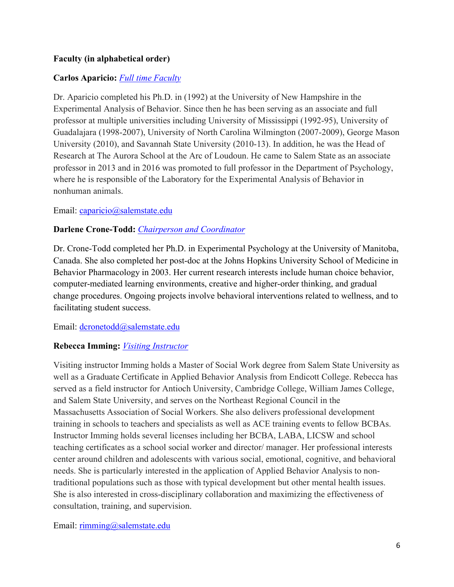# <span id="page-5-0"></span>**Faculty (in alphabetical order)**

# **Carlos Aparicio:** *[Full time Faculty](https://directory.salemstate.edu/profile/carlos.aparicio)*

Dr. Aparicio completed his Ph.D. in (1992) at the University of New Hampshire in the Experimental Analysis of Behavior. Since then he has been serving as an associate and full professor at multiple universities including University of Mississippi (1992-95), University of Guadalajara (1998-2007), University of North Carolina Wilmington (2007-2009), George Mason University (2010), and Savannah State University (2010-13). In addition, he was the Head of Research at The Aurora School at the Arc of Loudoun. He came to Salem State as an associate professor in 2013 and in 2016 was promoted to full professor in the Department of Psychology, where he is responsible of the Laboratory for the Experimental Analysis of Behavior in nonhuman animals.

#### Email: [caparicio@salemstate.edu](mailto:caparicio@salemstate.edu)

# **Darlene Crone-Todd:** *[Chairperson and Coordinator](https://directory.salemstate.edu/profile/darlene.cronetodd)*

Dr. Crone-Todd completed her Ph.D. in Experimental Psychology at the University of Manitoba, Canada. She also completed her post-doc at the Johns Hopkins University School of Medicine in Behavior Pharmacology in 2003. Her current research interests include human choice behavior, computer-mediated learning environments, creative and higher-order thinking, and gradual change procedures. Ongoing projects involve behavioral interventions related to wellness, and to facilitating student success.

# Email: [dcronetodd@salemstate.edu](mailto:dcronetodd@salemstate.edu)

# **Rebecca Imming:** *[Visiting Instructor](https://directory.salemstate.edu/profile/rebecca.imming)*

Visiting instructor Imming holds a Master of Social Work degree from Salem State University as well as a Graduate Certificate in Applied Behavior Analysis from Endicott College. Rebecca has served as a field instructor for Antioch University, Cambridge College, William James College, and Salem State University, and serves on the Northeast Regional Council in the Massachusetts Association of Social Workers. She also delivers professional development training in schools to teachers and specialists as well as ACE training events to fellow BCBAs. Instructor Imming holds several licenses including her BCBA, LABA, LICSW and school teaching certificates as a school social worker and director/ manager. Her professional interests center around children and adolescents with various social, emotional, cognitive, and behavioral needs. She is particularly interested in the application of Applied Behavior Analysis to nontraditional populations such as those with typical development but other mental health issues. She is also interested in cross-disciplinary collaboration and maximizing the effectiveness of consultation, training, and supervision.

#### Email: [rimming@salemstate.edu](mailto:rimming@salemstate.edu)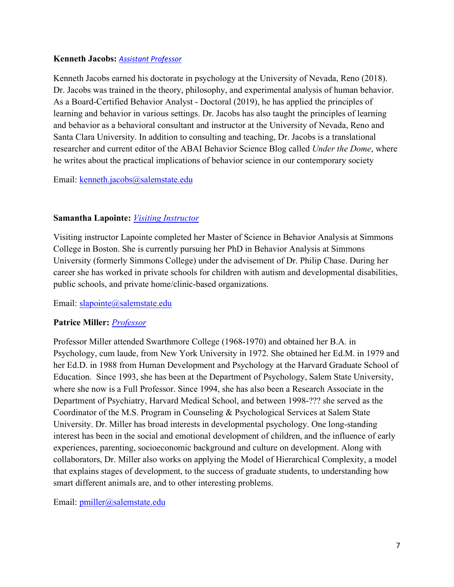# **Kenneth Jacobs:** *[Assistant Professor](https://directory.salemstate.edu/profile/kenneth.jacobs)*

Kenneth Jacobs earned his doctorate in psychology at the University of Nevada, Reno (2018). Dr. Jacobs was trained in the theory, philosophy, and experimental analysis of human behavior. As a Board-Certified Behavior Analyst - Doctoral (2019), he has applied the principles of learning and behavior in various settings. Dr. Jacobs has also taught the principles of learning and behavior as a behavioral consultant and instructor at the University of Nevada, Reno and Santa Clara University. In addition to consulting and teaching, Dr. Jacobs is a translational researcher and current editor of the [ABAI Behavior Science Blog](https://science.abainternational.org/) called *Under the Dome*, where he writes about the practical implications of behavior science in our contemporary society

# Email: [kenneth.jacobs@salemstate.edu](mailto:kenneth.jacobs@salemstate.edu)

# **Samantha Lapointe:** *[Visiting Instructor](https://directory.salemstate.edu/profile/samantha.lapointe)*

Visiting instructor Lapointe completed her Master of Science in Behavior Analysis at Simmons College in Boston. She is currently pursuing her PhD in Behavior Analysis at Simmons University (formerly Simmons College) under the advisement of Dr. Philip Chase. During her career she has worked in private schools for children with autism and developmental disabilities, public schools, and private home/clinic-based organizations.

Email: [slapointe@salemstate.edu](mailto:slapointe@salemstate.edu)

# **Patrice Miller:** *[Professor](https://directory.salemstate.edu/profile/patrice.miller)*

Professor Miller attended Swarthmore College (1968-1970) and obtained her B.A. in Psychology, cum laude, from New York University in 1972. She obtained her Ed.M. in 1979 and her Ed.D. in 1988 from Human Development and Psychology at the Harvard Graduate School of Education. Since 1993, she has been at the Department of Psychology, Salem State University, where she now is a Full Professor. Since 1994, she has also been a Research Associate in the Department of Psychiatry, Harvard Medical School, and between 1998-??? she served as the Coordinator of the M.S. Program in Counseling & Psychological Services at Salem State University. Dr. Miller has broad interests in developmental psychology. One long-standing interest has been in the social and emotional development of children, and the influence of early experiences, parenting, socioeconomic background and culture on development. Along with collaborators, Dr. Miller also works on applying the Model of Hierarchical Complexity, a model that explains stages of development, to the success of graduate students, to understanding how smart different animals are, and to other interesting problems.

Email: [pmiller@salemstate.edu](mailto:pmiller@salemstate.edu)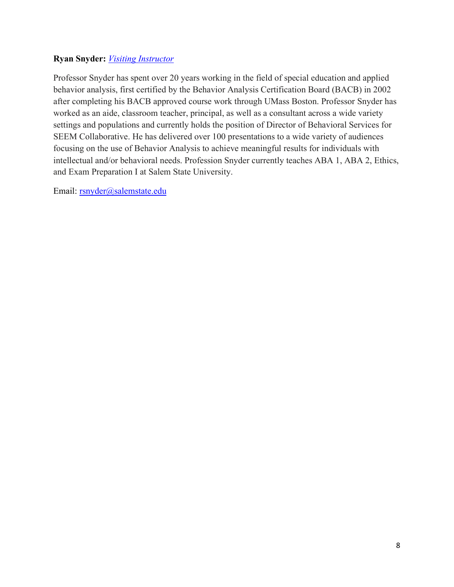# **Ryan Snyder:** *[Visiting Instructor](https://directory.salemstate.edu/profile/ryan.snyder)*

Professor Snyder has spent over 20 years working in the field of special education and applied behavior analysis, first certified by the Behavior Analysis Certification Board (BACB) in 2002 after completing his BACB approved course work through UMass Boston. Professor Snyder has worked as an aide, classroom teacher, principal, as well as a consultant across a wide variety settings and populations and currently holds the position of Director of Behavioral Services for SEEM Collaborative. He has delivered over 100 presentations to a wide variety of audiences focusing on the use of Behavior Analysis to achieve meaningful results for individuals with intellectual and/or behavioral needs. Profession Snyder currently teaches ABA 1, ABA 2, Ethics, and Exam Preparation I at Salem State University.

Email: [rsnyder@salemstate.edu](mailto:rsnyder@salemstate.edu)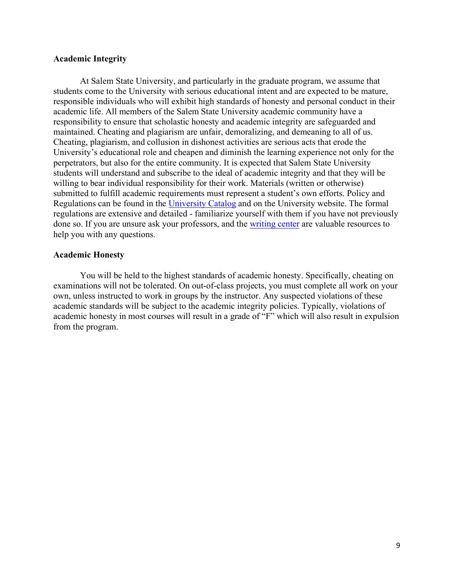#### <span id="page-8-0"></span>**Academic Integrity**

At Salem State University, and particularly in the graduate program, we assume that students come to the University with serious educational intent and are expected to be mature, responsible individuals who will exhibit high standards of honesty and personal conduct in their academic life. All members of the Salem State University academic community have a responsibility to ensure that scholastic honesty and academic integrity are safeguarded and maintained. Cheating and plagiarism are unfair, demoralizing, and demeaning to all of us. Cheating, plagiarism, and collusion in dishonest activities are serious acts that erode the University's educational role and cheapen and diminish the learning experience not only for the perpetrators, but also for the entire community. It is expected that Salem State University students will understand and subscribe to the ideal of academic integrity and that they will be willing to bear individual responsibility for their work. Materials (written or otherwise) submitted to fulfill academic requirements must represent a student's own efforts. Policy and Regulations can be found in the [University Catalog](https://catalog.salemstate.edu/content.php?catoid=41&navoid=10081) and on the University website. The formal regulations are extensive and detailed - familiarize yourself with them if you have not previously done so. If you are unsure ask your professors, and the [writing center](https://www.salemstate.edu/academics/college-arts-and-sciences/english/mary-g-walsh-writing-center) are valuable resources to help you with any questions.

#### **Academic Honesty**

You will be held to the highest standards of academic honesty. Specifically, cheating on examinations will not be tolerated. On out-of-class projects, you must complete all work on your own, unless instructed to work in groups by the instructor. Any suspected violations of these academic standards will be subject to the academic integrity policies. Typically, violations of academic honesty in most courses will result in a grade of "F" which will also result in expulsion from the program.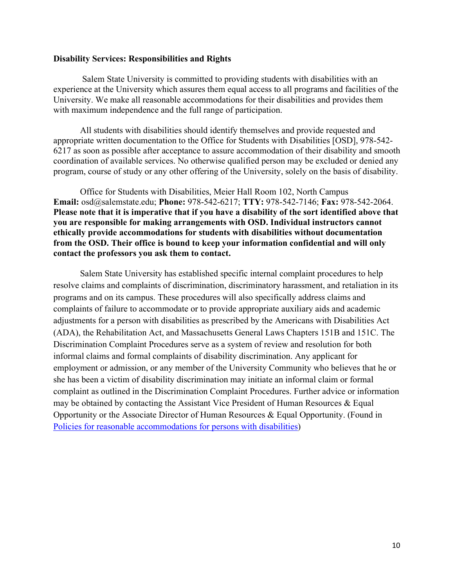#### <span id="page-9-0"></span>**Disability Services: Responsibilities and Rights**

Salem State University is committed to providing students with disabilities with an experience at the University which assures them equal access to all programs and facilities of the University. We make all reasonable accommodations for their disabilities and provides them with maximum independence and the full range of participation.

All students with disabilities should identify themselves and provide requested and appropriate written documentation to the Office for Students with Disabilities [OSD], 978-542- 6217 as soon as possible after acceptance to assure accommodation of their disability and smooth coordination of available services. No otherwise qualified person may be excluded or denied any program, course of study or any other offering of the University, solely on the basis of disability.

Office for Students with Disabilities, Meier Hall Room 102, North Campus **Email:** osd@salemstate.edu; **Phone:** 978-542-6217; **TTY:** 978-542-7146; **Fax:** 978-542-2064. **Please note that it is imperative that if you have a disability of the sort identified above that you are responsible for making arrangements with OSD. Individual instructors cannot ethically provide accommodations for students with disabilities without documentation from the OSD. Their office is bound to keep your information confidential and will only contact the professors you ask them to contact.** 

Salem State University has established specific internal complaint procedures to help resolve claims and complaints of discrimination, discriminatory harassment, and retaliation in its programs and on its campus. These procedures will also specifically address claims and complaints of failure to accommodate or to provide appropriate auxiliary aids and academic adjustments for a person with disabilities as prescribed by the Americans with Disabilities Act (ADA), the Rehabilitation Act, and Massachusetts General Laws Chapters 151B and 151C. The Discrimination Complaint Procedures serve as a system of review and resolution for both informal claims and formal complaints of disability discrimination. Any applicant for employment or admission, or any member of the University Community who believes that he or she has been a victim of disability discrimination may initiate an informal claim or formal complaint as outlined in the Discrimination Complaint Procedures. Further advice or information may be obtained by contacting the Assistant Vice President of Human Resources & Equal Opportunity or the Associate Director of Human Resources & Equal Opportunity. (Found in [Policies for reasonable accommodations for persons with disabilities\)](https://records.salemstate.edu/sites/records/files/policies/Policies%20for%20Reasonable%20Accomodations%20for%20Persons%20with%20Disabilities.pdf)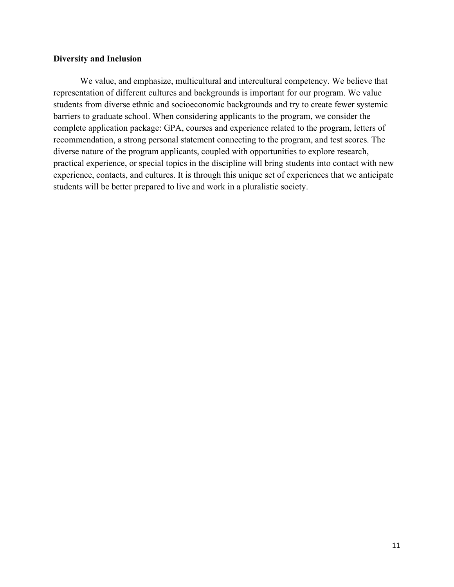#### <span id="page-10-0"></span>**Diversity and Inclusion**

We value, and emphasize, multicultural and intercultural competency. We believe that representation of different cultures and backgrounds is important for our program. We value students from diverse ethnic and socioeconomic backgrounds and try to create fewer systemic barriers to graduate school. When considering applicants to the program, we consider the complete application package: GPA, courses and experience related to the program, letters of recommendation, a strong personal statement connecting to the program, and test scores. The diverse nature of the program applicants, coupled with opportunities to explore research, practical experience, or special topics in the discipline will bring students into contact with new experience, contacts, and cultures. It is through this unique set of experiences that we anticipate students will be better prepared to live and work in a pluralistic society.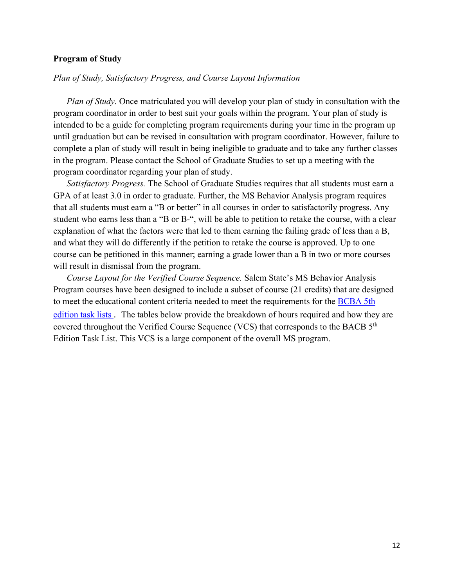#### <span id="page-11-0"></span>**Program of Study**

#### *Plan of Study, Satisfactory Progress, and Course Layout Information*

*Plan of Study.* Once matriculated you will develop your plan of study in consultation with the program coordinator in order to best suit your goals within the program. Your plan of study is intended to be a guide for completing program requirements during your time in the program up until graduation but can be revised in consultation with program coordinator. However, failure to complete a plan of study will result in being ineligible to graduate and to take any further classes in the program. Please contact the School of Graduate Studies to set up a meeting with the program coordinator regarding your plan of study.

*Satisfactory Progress.* The School of Graduate Studies requires that all students must earn a GPA of at least 3.0 in order to graduate. Further, the MS Behavior Analysis program requires that all students must earn a "B or better" in all courses in order to satisfactorily progress. Any student who earns less than a "B or B-", will be able to petition to retake the course, with a clear explanation of what the factors were that led to them earning the failing grade of less than a B, and what they will do differently if the petition to retake the course is approved. Up to one course can be petitioned in this manner; earning a grade lower than a B in two or more courses will result in dismissal from the program.

*Course Layout for the Verified Course Sequence.* Salem State's MS Behavior Analysis Program courses have been designed to include a subset of course (21 credits) that are designed to meet the educational content criteria needed to meet the requirements for the [BCBA 5th](https://www.bacb.com/bcba-bcaba-task-list/)  [edition task lists .](https://www.bacb.com/bcba-bcaba-task-list/) The tables below provide the breakdown of hours required and how they are covered throughout the Verified Course Sequence (VCS) that corresponds to the BACB  $5<sup>th</sup>$ Edition Task List. This VCS is a large component of the overall MS program.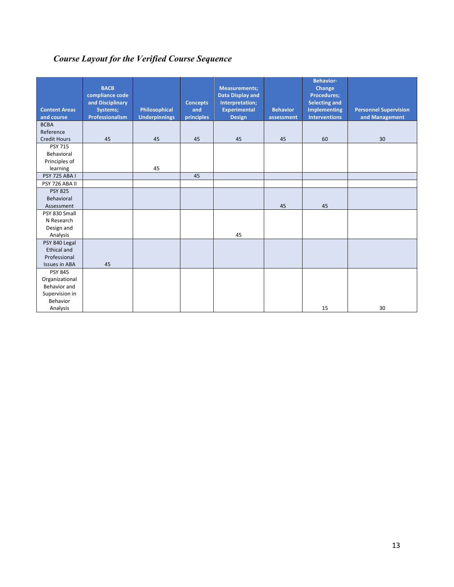# <span id="page-12-0"></span>*Course Layout for the Verified Course Sequence*

| <b>Content Areas</b><br>and course | <b>BACB</b><br>compliance code<br>and Disciplinary<br>Systems;<br>Professionalism | Philosophical<br><b>Underpinnings</b> | <b>Concepts</b><br>and<br>principles | <b>Measurements;</b><br><b>Data Display and</b><br>Interpretation;<br><b>Experimental</b><br><b>Design</b> | <b>Behavior</b><br>assessment | <b>Behavior-</b><br>Change<br><b>Procedures;</b><br><b>Selecting and</b><br><b>Implementing</b><br><b>Interventions</b> | <b>Personnel Supervision</b><br>and Management |
|------------------------------------|-----------------------------------------------------------------------------------|---------------------------------------|--------------------------------------|------------------------------------------------------------------------------------------------------------|-------------------------------|-------------------------------------------------------------------------------------------------------------------------|------------------------------------------------|
| <b>BCBA</b>                        |                                                                                   |                                       |                                      |                                                                                                            |                               |                                                                                                                         |                                                |
| Reference                          |                                                                                   |                                       |                                      |                                                                                                            |                               |                                                                                                                         |                                                |
| <b>Credit Hours</b>                | 45                                                                                | 45                                    | 45                                   | 45                                                                                                         | 45                            | 60                                                                                                                      | 30                                             |
| <b>PSY 715</b>                     |                                                                                   |                                       |                                      |                                                                                                            |                               |                                                                                                                         |                                                |
| Behavioral                         |                                                                                   |                                       |                                      |                                                                                                            |                               |                                                                                                                         |                                                |
| Principles of                      |                                                                                   |                                       |                                      |                                                                                                            |                               |                                                                                                                         |                                                |
| learning                           |                                                                                   | 45                                    |                                      |                                                                                                            |                               |                                                                                                                         |                                                |
| <b>PSY 725 ABA I</b>               |                                                                                   |                                       | 45                                   |                                                                                                            |                               |                                                                                                                         |                                                |
| PSY 726 ABA II                     |                                                                                   |                                       |                                      |                                                                                                            |                               |                                                                                                                         |                                                |
| <b>PSY 825</b>                     |                                                                                   |                                       |                                      |                                                                                                            |                               |                                                                                                                         |                                                |
| Behavioral                         |                                                                                   |                                       |                                      |                                                                                                            |                               |                                                                                                                         |                                                |
| Assessment                         |                                                                                   |                                       |                                      |                                                                                                            | 45                            | 45                                                                                                                      |                                                |
| PSY 830 Small                      |                                                                                   |                                       |                                      |                                                                                                            |                               |                                                                                                                         |                                                |
| N Research                         |                                                                                   |                                       |                                      |                                                                                                            |                               |                                                                                                                         |                                                |
| Design and                         |                                                                                   |                                       |                                      |                                                                                                            |                               |                                                                                                                         |                                                |
| Analysis                           |                                                                                   |                                       |                                      | 45                                                                                                         |                               |                                                                                                                         |                                                |
| PSY 840 Legal                      |                                                                                   |                                       |                                      |                                                                                                            |                               |                                                                                                                         |                                                |
| <b>Ethical and</b><br>Professional |                                                                                   |                                       |                                      |                                                                                                            |                               |                                                                                                                         |                                                |
| <b>Issues in ABA</b>               | 45                                                                                |                                       |                                      |                                                                                                            |                               |                                                                                                                         |                                                |
| <b>PSY 845</b>                     |                                                                                   |                                       |                                      |                                                                                                            |                               |                                                                                                                         |                                                |
| Organizational                     |                                                                                   |                                       |                                      |                                                                                                            |                               |                                                                                                                         |                                                |
| Behavior and                       |                                                                                   |                                       |                                      |                                                                                                            |                               |                                                                                                                         |                                                |
| Supervision in                     |                                                                                   |                                       |                                      |                                                                                                            |                               |                                                                                                                         |                                                |
| <b>Behavior</b>                    |                                                                                   |                                       |                                      |                                                                                                            |                               |                                                                                                                         |                                                |
| Analysis                           |                                                                                   |                                       |                                      |                                                                                                            |                               | 15                                                                                                                      | 30                                             |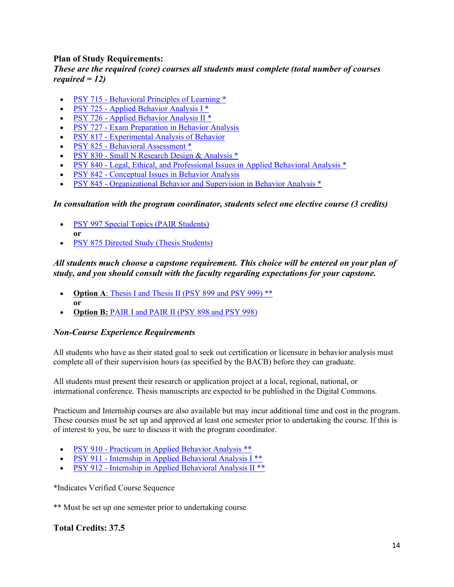#### <span id="page-13-0"></span>**Plan of Study Requirements:**

#### *These are the required (core) courses all students must complete (total number of courses required = 12)*

- PSY 715 [Behavioral Principles of Learning](https://catalog.salemstate.edu/preview_program.php?catoid=46&poid=5821&returnto=11825) \*
- PSY 725 [Applied Behavior Analysis I](https://catalog.salemstate.edu/preview_program.php?catoid=46&poid=5821&returnto=11825) \*
- PSY 726 [Applied Behavior Analysis II](https://catalog.salemstate.edu/preview_program.php?catoid=46&poid=5821&returnto=11825)<sup>\*</sup>
- PSY 727 [Exam Preparation in Behavior Analysis](https://catalog.salemstate.edu/preview_program.php?catoid=46&poid=5821&returnto=11825)
- PSY 817 [Experimental Analysis of Behavior](https://catalog.salemstate.edu/preview_program.php?catoid=46&poid=5821&returnto=11825)
- PSY 825 [Behavioral Assessment](https://catalog.salemstate.edu/preview_program.php?catoid=46&poid=5821&returnto=11825) \*
- PSY 830 [Small N Research Design & Analysis](https://catalog.salemstate.edu/preview_program.php?catoid=46&poid=5821&returnto=11825) \*
- PSY 840 [Legal, Ethical, and Professional Issues in Applied Behavioral Analysis](https://catalog.salemstate.edu/preview_program.php?catoid=46&poid=5821&returnto=11825) \*
- PSY 842 [Conceptual Issues in Behavior Analysis](https://catalog.salemstate.edu/preview_program.php?catoid=46&poid=5821&returnto=11825)
- PSY 845 [Organizational Behavior and Supervision in Behavior Analysis](https://catalog.salemstate.edu/preview_program.php?catoid=46&poid=5821&returnto=11825) \*

#### *In consultation with the program coordinator, students select one elective course (3 credits)*

- **PSY 997 Special Topics (PAIR Students) or**
- [PSY 875 Directed Study \(Thesis Students\)](https://catalog.salemstate.edu/preview_program.php?catoid=46&poid=5821&returnto=11825)

# *All students much choose a capstone requirement. This choice will be entered on your plan of study, and you should consult with the faculty regarding expectations for your capstone.*

- **Option A:** Thesis I and Thesis II (PSY 899 and PSY 999) \*\* **or**
- **Option B:** [PAIR I and PAIR II \(PSY 898 and PSY 998\)](https://catalog.salemstate.edu/preview_program.php?catoid=46&poid=5821&returnto=11825)

#### *Non-Course Experience Requirements*

All students who have as their stated goal to seek out certification or licensure in behavior analysis must complete all of their supervision hours (as specified by the BACB) before they can graduate.

All students must present their research or application project at a local, regional, national, or international conference. Thesis manuscripts are expected to be published in the Digital Commons.

Practicum and Internship courses are also available but may incur additional time and cost in the program. These courses must be set up and approved at least one semester prior to undertaking the course. If this is of interest to you, be sure to discuss it with the program coordinator.

- PSY 910 [Practicum in Applied Behavior Analysis](https://catalog.salemstate.edu/preview_program.php?catoid=46&poid=5821&returnto=11825) \*\*
- PSY 911 [Internship in Applied Behavioral Analysis I](https://catalog.salemstate.edu/preview_program.php?catoid=46&poid=5821&returnto=11825) \*\*
- PSY 912 [Internship in Applied Behavioral Analysis II](https://catalog.salemstate.edu/preview_program.php?catoid=46&poid=5821&returnto=11825) \*\*

\*Indicates Verified Course Sequence

\*\* Must be set up one semester prior to undertaking course

#### **Total Credits: 37.5**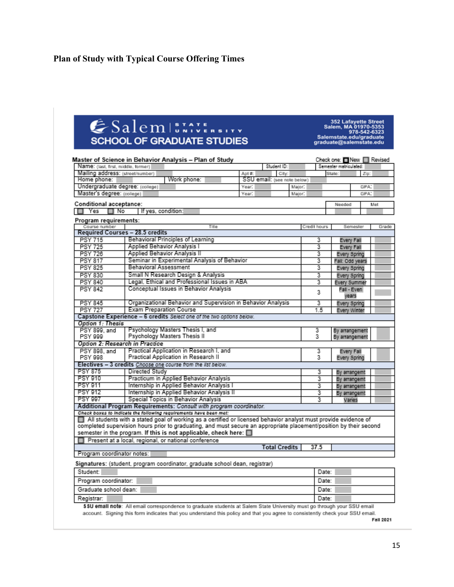# **Plan of Study with Typical Course Offering Times**

# ESalem ISSAVE

352 Lafayette Street<br>Salem, MA 01970-5353<br>978-542-6323<br>Salemstate.edu/graduate<br>graduate@salemstate.edu

| Name: (last, first, middle, former)                                                        | Master of Science in Behavior Analysis - Plan of Study                                                             |        |                | Student ID:                          |              | Check one: New   Revised<br>Semester matriculated: |              |       |  |  |
|--------------------------------------------------------------------------------------------|--------------------------------------------------------------------------------------------------------------------|--------|----------------|--------------------------------------|--------------|----------------------------------------------------|--------------|-------|--|--|
|                                                                                            |                                                                                                                    |        |                |                                      |              |                                                    |              |       |  |  |
| Mailing address: (street/number)<br>Home phone:                                            | Work phone:                                                                                                        | Apt #: |                | City:<br>SSU email: (see note below) |              | State:                                             | Zip:         |       |  |  |
|                                                                                            |                                                                                                                    |        |                |                                      |              |                                                    |              |       |  |  |
| Undergraduate degree: (college)<br>Year:<br>Major:<br>Master's degree: (college)<br>Major: |                                                                                                                    |        |                |                                      |              |                                                    |              | GPA:  |  |  |
|                                                                                            |                                                                                                                    | Year:  |                |                                      |              |                                                    | GPA.         |       |  |  |
| Conditional acceptance:                                                                    |                                                                                                                    |        |                |                                      |              | Needed                                             |              | Met   |  |  |
| Yes<br>⊟No                                                                                 | If yes, condition:                                                                                                 |        |                |                                      |              |                                                    |              |       |  |  |
| Program requirements:                                                                      |                                                                                                                    |        |                |                                      |              |                                                    |              |       |  |  |
| Course number                                                                              | Title                                                                                                              |        |                |                                      | Credit hours |                                                    | Semester     | Grade |  |  |
|                                                                                            | Required Courses - 28.5 credits                                                                                    |        |                |                                      |              |                                                    |              |       |  |  |
| <b>PSY 715</b>                                                                             | Behavioral Principles of Learning                                                                                  |        |                |                                      | з            | Every Fall                                         |              |       |  |  |
| <b>PSY 725</b>                                                                             | Applied Behavior Analysis I                                                                                        |        |                |                                      | 3            |                                                    | Every Fall   |       |  |  |
| <b>PSY 726</b>                                                                             | Applied Behavior Analysis II                                                                                       |        |                |                                      | 3            |                                                    | Every Spring |       |  |  |
| <b>PSY 817</b>                                                                             | Seminar in Experimental Analysis of Behavior                                                                       |        |                |                                      | з            | Fall: Odd years                                    |              |       |  |  |
| <b>PSY 825</b>                                                                             | <b>Behavioral Assessment</b>                                                                                       |        |                |                                      | 3            | Every Spring                                       |              |       |  |  |
| <b>PSY 830</b>                                                                             | Small N Research Design & Analysis                                                                                 |        |                |                                      | 3            |                                                    | Every Spring |       |  |  |
| <b>PSY 840</b>                                                                             | Legal, Ethical and Professional Issues in ABA                                                                      |        |                |                                      | 3            | Every Summer                                       |              |       |  |  |
| <b>PSY 842</b>                                                                             | Conceptual Issues in Behavior Analysis                                                                             |        |                |                                      | 3            |                                                    | Fall - Even  |       |  |  |
|                                                                                            |                                                                                                                    |        |                |                                      |              | vears                                              |              |       |  |  |
| <b>PSY 845</b>                                                                             | <b>Every Spring</b>                                                                                                |        |                |                                      |              |                                                    |              |       |  |  |
| <b>PSY 727</b>                                                                             | <b>Exam Preparation Course</b>                                                                                     |        |                |                                      | 1.5          | Every Winter                                       |              |       |  |  |
|                                                                                            | Capstone Experience - 6 credits Select one of the two options below.                                               |        |                |                                      |              |                                                    |              |       |  |  |
| Option 1: Thesis                                                                           |                                                                                                                    |        |                |                                      |              |                                                    |              |       |  |  |
| PSY 899, and                                                                               | Psychology Masters Thesis I, and                                                                                   | 3<br>3 | By arrangement |                                      |              |                                                    |              |       |  |  |
| Psychology Masters Thesis II<br>PSY 999                                                    |                                                                                                                    |        |                |                                      |              | By arrangement                                     |              |       |  |  |
| Option 2: Research in Practice                                                             |                                                                                                                    |        |                |                                      |              |                                                    |              |       |  |  |
| PSY 898, and                                                                               | Practical Application in Research I, and                                                                           |        |                |                                      | 3            | Every Fall                                         |              |       |  |  |
| PSY 998                                                                                    | Practical Application in Research II                                                                               |        |                |                                      | 3            | Every Spring                                       |              |       |  |  |
|                                                                                            | Electives - 3 credits Choose one course from the list below.                                                       |        |                |                                      |              |                                                    |              |       |  |  |
| <b>PSY 875</b>                                                                             | Directed Study                                                                                                     |        |                |                                      | 3            | By arrangemt                                       |              |       |  |  |
| PSY 910                                                                                    | Practicum in Applied Behavior Analysis                                                                             |        |                |                                      | 3            | By arrangemt                                       |              |       |  |  |
| Internship in Applied Behavior Analysis I<br>PSY 911<br>з<br>By arrangemt                  |                                                                                                                    |        |                |                                      |              |                                                    |              |       |  |  |
| Internship in Applied Behavior Analysis II<br><b>PSY 912</b><br>3<br>By arrangemt          |                                                                                                                    |        |                |                                      |              |                                                    |              |       |  |  |
| <b>PSY 997</b>                                                                             | Special Topics in Behavior Analysis                                                                                |        |                |                                      | 3            |                                                    | Varies       |       |  |  |
|                                                                                            | Additional Program Requirements: Consult with program coordinator.                                                 |        |                |                                      |              |                                                    |              |       |  |  |
|                                                                                            | Check boxes to indicate the following requirements have been met:                                                  |        |                |                                      |              |                                                    |              |       |  |  |
|                                                                                            | All students with a stated goal of working as a certified or licensed behavior analyst must provide evidence of    |        |                |                                      |              |                                                    |              |       |  |  |
|                                                                                            | completed supervision hours prior to graduating, and must secure an appropriate placement/position by their second |        |                |                                      |              |                                                    |              |       |  |  |
|                                                                                            | semester in the program. If this is not applicable, check here: $\Box$                                             |        |                |                                      |              |                                                    |              |       |  |  |
|                                                                                            | Present at a local, regional, or national conference                                                               |        |                |                                      |              |                                                    |              |       |  |  |
|                                                                                            |                                                                                                                    |        |                | <b>Total Credits</b>                 | 37.5         |                                                    |              |       |  |  |
| Program coordinator notes:                                                                 |                                                                                                                    |        |                |                                      |              |                                                    |              |       |  |  |
|                                                                                            | Signatures: (student, program coordinator, graduate school dean, registrar)                                        |        |                |                                      |              |                                                    |              |       |  |  |
|                                                                                            |                                                                                                                    |        |                |                                      |              |                                                    |              |       |  |  |
| Student:                                                                                   |                                                                                                                    |        |                |                                      |              | Date:                                              |              |       |  |  |

Graduate school dean: Date: Registrar: Date:

\$\$U email note: All email correspondence to graduate students at Salem State University must go through your SSU email account. Signing this form indicates that you understand this policy and that you agree to consistently check your SSU email.

Fall 2021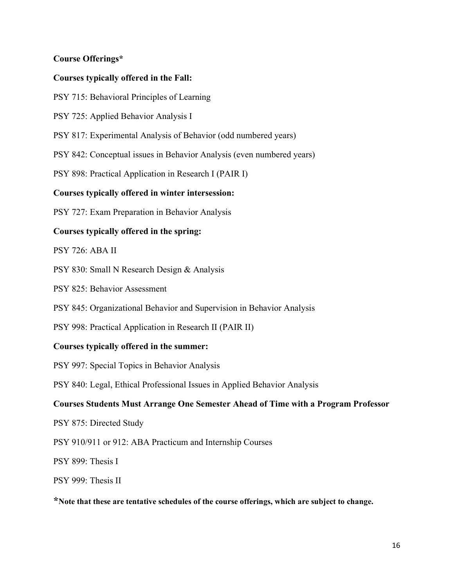# <span id="page-15-0"></span>**Course Offerings\***

# **Courses typically offered in the Fall:**

- PSY 715: Behavioral Principles of Learning
- PSY 725: Applied Behavior Analysis I
- PSY 817: Experimental Analysis of Behavior (odd numbered years)
- PSY 842: Conceptual issues in Behavior Analysis (even numbered years)
- PSY 898: Practical Application in Research I (PAIR I)

#### **Courses typically offered in winter intersession:**

PSY 727: Exam Preparation in Behavior Analysis

#### **Courses typically offered in the spring:**

#### PSY 726: ABA II

- PSY 830: Small N Research Design & Analysis
- PSY 825: Behavior Assessment
- PSY 845: Organizational Behavior and Supervision in Behavior Analysis
- PSY 998: Practical Application in Research II (PAIR II)

#### **Courses typically offered in the summer:**

PSY 997: Special Topics in Behavior Analysis

PSY 840: Legal, Ethical Professional Issues in Applied Behavior Analysis

#### **Courses Students Must Arrange One Semester Ahead of Time with a Program Professor**

- PSY 875: Directed Study
- PSY 910/911 or 912: ABA Practicum and Internship Courses
- PSY 899: Thesis I
- PSY 999: Thesis II

**\*Note that these are tentative schedules of the course offerings, which are subject to change.**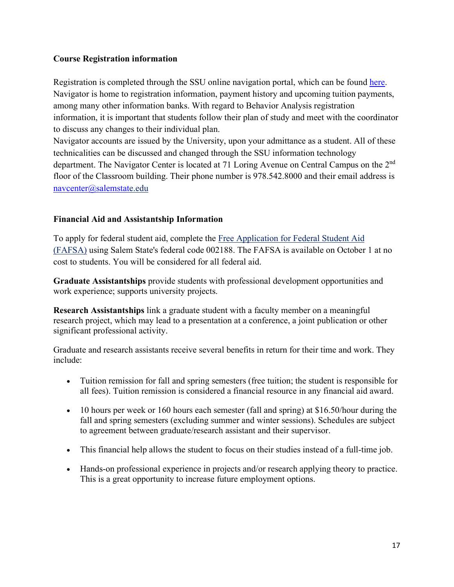# <span id="page-16-0"></span>**Course Registration information**

Registration is completed through the SSU online navigation portal, which can be found [here.](http://www.navigator.salemstate.edu/) Navigator is home to registration information, payment history and upcoming tuition payments, among many other information banks. With regard to Behavior Analysis registration information, it is important that students follow their plan of study and meet with the coordinator to discuss any changes to their individual plan.

Navigator accounts are issued by the University, upon your admittance as a student. All of these technicalities can be discussed and changed through the SSU information technology department. The Navigator Center is located at 71 Loring Avenue on Central Campus on the 2<sup>nd</sup> floor of the Classroom building. Their phone number is 978.542.8000 and their email address is [navcenter@salemstate.edu](mailto:navcenter@salemstate.edu)

# **Financial Aid and Assistantship Information**

To apply for federal student aid, complete the [Free Application for Federal Student Aid](https://fafsa.ed.gov/)  [\(FAFSA\)](https://fafsa.ed.gov/) using Salem State's federal code 002188. The FAFSA is available on October 1 at no cost to students. You will be considered for all federal aid.

**Graduate Assistantships** provide students with professional development opportunities and work experience; supports university projects.

**Research Assistantships** link a graduate student with a faculty member on a meaningful research project, which may lead to a presentation at a conference, a joint publication or other significant professional activity.

Graduate and research assistants receive several benefits in return for their time and work. They include:

- Tuition remission for fall and spring semesters (free tuition; the student is responsible for all fees). Tuition remission is considered a financial resource in any financial aid award.
- 10 hours per week or 160 hours each semester (fall and spring) at \$16.50/hour during the fall and spring semesters (excluding summer and winter sessions). Schedules are subject to agreement between graduate/research assistant and their supervisor.
- This financial help allows the student to focus on their studies instead of a full-time job.
- Hands-on professional experience in projects and/or research applying theory to practice. This is a great opportunity to increase future employment options.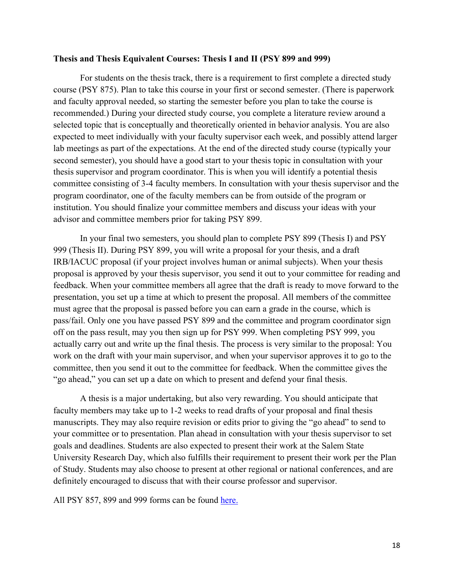#### <span id="page-17-0"></span>**Thesis and Thesis Equivalent Courses: Thesis I and II (PSY 899 and 999)**

For students on the thesis track, there is a requirement to first complete a directed study course (PSY 875). Plan to take this course in your first or second semester. (There is paperwork and faculty approval needed, so starting the semester before you plan to take the course is recommended.) During your directed study course, you complete a literature review around a selected topic that is conceptually and theoretically oriented in behavior analysis. You are also expected to meet individually with your faculty supervisor each week, and possibly attend larger lab meetings as part of the expectations. At the end of the directed study course (typically your second semester), you should have a good start to your thesis topic in consultation with your thesis supervisor and program coordinator. This is when you will identify a potential thesis committee consisting of 3-4 faculty members. In consultation with your thesis supervisor and the program coordinator, one of the faculty members can be from outside of the program or institution. You should finalize your committee members and discuss your ideas with your advisor and committee members prior for taking PSY 899.

In your final two semesters, you should plan to complete PSY 899 (Thesis I) and PSY 999 (Thesis II). During PSY 899, you will write a proposal for your thesis, and a draft IRB/IACUC proposal (if your project involves human or animal subjects). When your thesis proposal is approved by your thesis supervisor, you send it out to your committee for reading and feedback. When your committee members all agree that the draft is ready to move forward to the presentation, you set up a time at which to present the proposal. All members of the committee must agree that the proposal is passed before you can earn a grade in the course, which is pass/fail. Only one you have passed PSY 899 and the committee and program coordinator sign off on the pass result, may you then sign up for PSY 999. When completing PSY 999, you actually carry out and write up the final thesis. The process is very similar to the proposal: You work on the draft with your main supervisor, and when your supervisor approves it to go to the committee, then you send it out to the committee for feedback. When the committee gives the "go ahead," you can set up a date on which to present and defend your final thesis.

A thesis is a major undertaking, but also very rewarding. You should anticipate that faculty members may take up to 1-2 weeks to read drafts of your proposal and final thesis manuscripts. They may also require revision or edits prior to giving the "go ahead" to send to your committee or to presentation. Plan ahead in consultation with your thesis supervisor to set goals and deadlines. Students are also expected to present their work at the Salem State University Research Day, which also fulfills their requirement to present their work per the Plan of Study. Students may also choose to present at other regional or national conferences, and are definitely encouraged to discuss that with their course professor and supervisor.

All PSY 857, 899 and 999 forms can be found [here.](https://ask.salemstate.edu/kb/school-graduate-studies-forms)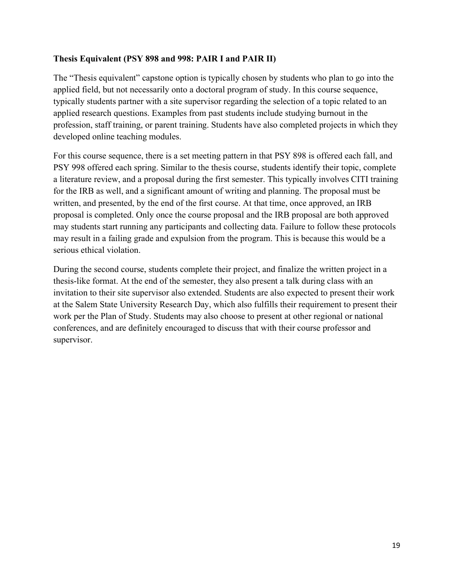#### **Thesis Equivalent (PSY 898 and 998: PAIR I and PAIR II)**

The "Thesis equivalent" capstone option is typically chosen by students who plan to go into the applied field, but not necessarily onto a doctoral program of study. In this course sequence, typically students partner with a site supervisor regarding the selection of a topic related to an applied research questions. Examples from past students include studying burnout in the profession, staff training, or parent training. Students have also completed projects in which they developed online teaching modules.

For this course sequence, there is a set meeting pattern in that PSY 898 is offered each fall, and PSY 998 offered each spring. Similar to the thesis course, students identify their topic, complete a literature review, and a proposal during the first semester. This typically involves CITI training for the IRB as well, and a significant amount of writing and planning. The proposal must be written, and presented, by the end of the first course. At that time, once approved, an IRB proposal is completed. Only once the course proposal and the IRB proposal are both approved may students start running any participants and collecting data. Failure to follow these protocols may result in a failing grade and expulsion from the program. This is because this would be a serious ethical violation.

During the second course, students complete their project, and finalize the written project in a thesis-like format. At the end of the semester, they also present a talk during class with an invitation to their site supervisor also extended. Students are also expected to present their work at the Salem State University Research Day, which also fulfills their requirement to present their work per the Plan of Study. Students may also choose to present at other regional or national conferences, and are definitely encouraged to discuss that with their course professor and supervisor.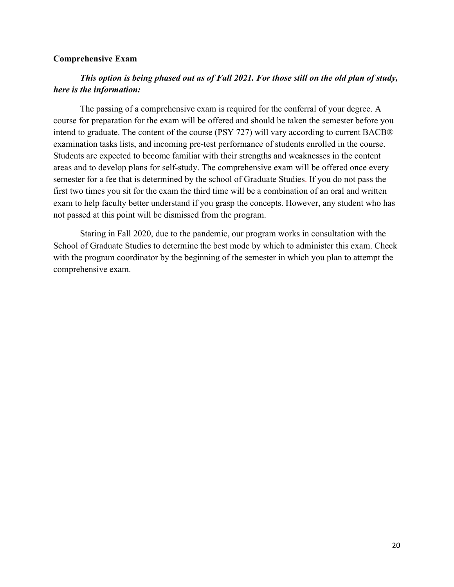#### <span id="page-19-0"></span>**Comprehensive Exam**

# *This option is being phased out as of Fall 2021. For those still on the old plan of study, here is the information:*

The passing of a comprehensive exam is required for the conferral of your degree. A course for preparation for the exam will be offered and should be taken the semester before you intend to graduate. The content of the course (PSY 727) will vary according to current BACB® examination tasks lists, and incoming pre-test performance of students enrolled in the course. Students are expected to become familiar with their strengths and weaknesses in the content areas and to develop plans for self-study. The comprehensive exam will be offered once every semester for a fee that is determined by the school of Graduate Studies. If you do not pass the first two times you sit for the exam the third time will be a combination of an oral and written exam to help faculty better understand if you grasp the concepts. However, any student who has not passed at this point will be dismissed from the program.

Staring in Fall 2020, due to the pandemic, our program works in consultation with the School of Graduate Studies to determine the best mode by which to administer this exam. Check with the program coordinator by the beginning of the semester in which you plan to attempt the comprehensive exam.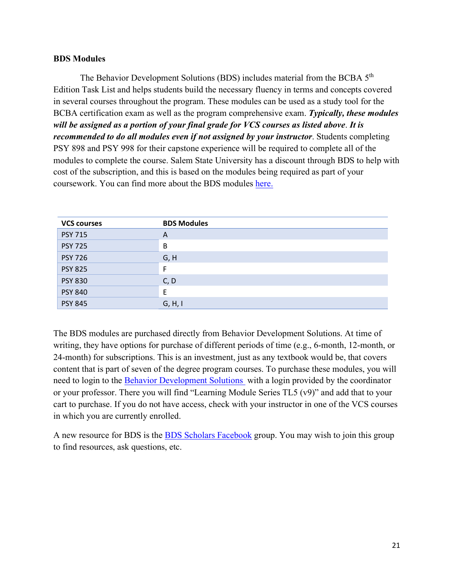#### <span id="page-20-0"></span>**BDS Modules**

The Behavior Development Solutions (BDS) includes material from the BCBA 5<sup>th</sup> Edition Task List and helps students build the necessary fluency in terms and concepts covered in several courses throughout the program. These modules can be used as a study tool for the BCBA certification exam as well as the program comprehensive exam. *Typically, these modules will be assigned as a portion of your final grade for VCS courses as listed above*. *It is recommended to do all modules even if not assigned by your instructor*. Students completing PSY 898 and PSY 998 for their capstone experience will be required to complete all of the modules to complete the course. Salem State University has a discount through BDS to help with cost of the subscription, and this is based on the modules being required as part of your coursework. You can find more about the BDS modules [here.](https://www.behaviordevelopmentsolutions.com/frequently-asked-questions) 

| <b>VCS courses</b> | <b>BDS Modules</b> |
|--------------------|--------------------|
| <b>PSY 715</b>     | A                  |
| <b>PSY 725</b>     | B                  |
| <b>PSY 726</b>     | G, H               |
| <b>PSY 825</b>     | F                  |
| <b>PSY 830</b>     | C, D               |
| <b>PSY 840</b>     | Ε                  |
| <b>PSY 845</b>     | G, H, I            |

The BDS modules are purchased directly from Behavior Development Solutions. At time of writing, they have options for purchase of different periods of time (e.g., 6-month, 12-month, or 24-month) for subscriptions. This is an investment, just as any textbook would be, that covers content that is part of seven of the degree program courses. To purchase these modules, you will need to login to the [Behavior Development Solutions](https://www.behaviordevelopmentsolutions.com/bacb-exam-prep) with a login provided by the coordinator or your professor. There you will find "Learning Module Series TL5 (v9)" and add that to your cart to purchase. If you do not have access, check with your instructor in one of the VCS courses in which you are currently enrolled.

A new resource for BDS is the [BDS Scholars Facebook](https://www.facebook.com/groups/1358774187649981/) group. You may wish to join this group to find resources, ask questions, etc.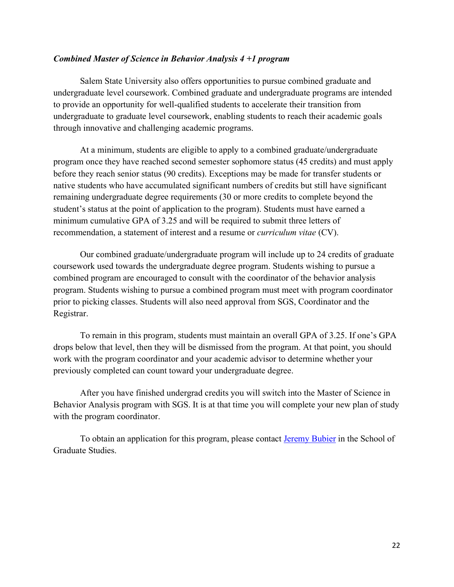#### <span id="page-21-0"></span>*Combined Master of Science in Behavior Analysis 4 +1 program*

Salem State University also offers opportunities to pursue combined graduate and undergraduate level coursework. Combined graduate and undergraduate programs are intended to provide an opportunity for well-qualified students to accelerate their transition from undergraduate to graduate level coursework, enabling students to reach their academic goals through innovative and challenging academic programs.

At a minimum, students are eligible to apply to a combined graduate/undergraduate program once they have reached second semester sophomore status (45 credits) and must apply before they reach senior status (90 credits). Exceptions may be made for transfer students or native students who have accumulated significant numbers of credits but still have significant remaining undergraduate degree requirements (30 or more credits to complete beyond the student's status at the point of application to the program). Students must have earned a minimum cumulative GPA of 3.25 and will be required to submit three letters of recommendation, a statement of interest and a resume or *curriculum vitae* (CV).

Our combined graduate/undergraduate program will include up to 24 credits of graduate coursework used towards the undergraduate degree program. Students wishing to pursue a combined program are encouraged to consult with the coordinator of the behavior analysis program. Students wishing to pursue a combined program must meet with program coordinator prior to picking classes. Students will also need approval from SGS, Coordinator and the Registrar.

To remain in this program, students must maintain an overall GPA of 3.25. If one's GPA drops below that level, then they will be dismissed from the program. At that point, you should work with the program coordinator and your academic advisor to determine whether your previously completed can count toward your undergraduate degree.

After you have finished undergrad credits you will switch into the Master of Science in Behavior Analysis program with SGS. It is at that time you will complete your new plan of study with the program coordinator.

To obtain an application for this program, please contact [Jeremy Bubier](mailto:jbubier@salemstate.edu) in the School of Graduate Studies.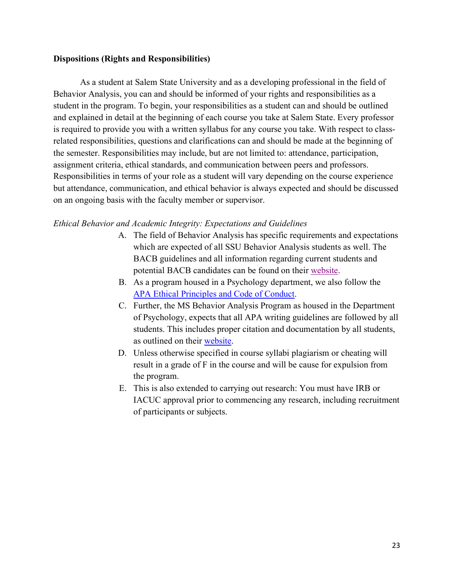#### <span id="page-22-0"></span>**Dispositions (Rights and Responsibilities)**

As a student at Salem State University and as a developing professional in the field of Behavior Analysis, you can and should be informed of your rights and responsibilities as a student in the program. To begin, your responsibilities as a student can and should be outlined and explained in detail at the beginning of each course you take at Salem State. Every professor is required to provide you with a written syllabus for any course you take. With respect to classrelated responsibilities, questions and clarifications can and should be made at the beginning of the semester. Responsibilities may include, but are not limited to: attendance, participation, assignment criteria, ethical standards, and communication between peers and professors. Responsibilities in terms of your role as a student will vary depending on the course experience but attendance, communication, and ethical behavior is always expected and should be discussed on an ongoing basis with the faculty member or supervisor.

#### *Ethical Behavior and Academic Integrity: Expectations and Guidelines*

- A. The field of Behavior Analysis has specific requirements and expectations which are expected of all SSU Behavior Analysis students as well. The BACB guidelines and all information regarding current students and potential BACB candidates can be found on their [website.](http://www.bacb.com/)
- B. As a program housed in a Psychology department, we also follow the [APA Ethical Principles and Code of Conduct.](https://www.apa.org/ethics/code)
- C. Further, the MS Behavior Analysis Program as housed in the Department of Psychology, expects that all APA writing guidelines are followed by all students. This includes proper citation and documentation by all students, as outlined on their [website.](http://www.apastyle.org./)
- D. Unless otherwise specified in course syllabi plagiarism or cheating will result in a grade of F in the course and will be cause for expulsion from the program.
- E. This is also extended to carrying out research: You must have IRB or IACUC approval prior to commencing any research, including recruitment of participants or subjects.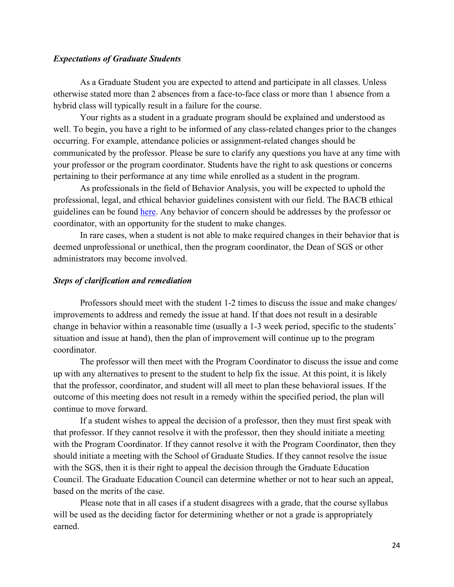#### *Expectations of Graduate Students*

As a Graduate Student you are expected to attend and participate in all classes. Unless otherwise stated more than 2 absences from a face-to-face class or more than 1 absence from a hybrid class will typically result in a failure for the course.

Your rights as a student in a graduate program should be explained and understood as well. To begin, you have a right to be informed of any class-related changes prior to the changes occurring. For example, attendance policies or assignment-related changes should be communicated by the professor. Please be sure to clarify any questions you have at any time with your professor or the program coordinator. Students have the right to ask questions or concerns pertaining to their performance at any time while enrolled as a student in the program.

As professionals in the field of Behavior Analysis, you will be expected to uphold the professional, legal, and ethical behavior guidelines consistent with our field. The BACB ethical guidelines can be found [here.](http://bacb.com/ethics-code/) Any behavior of concern should be addresses by the professor or coordinator, with an opportunity for the student to make changes.

In rare cases, when a student is not able to make required changes in their behavior that is deemed unprofessional or unethical, then the program coordinator, the Dean of SGS or other administrators may become involved.

#### *Steps of clarification and remediation*

Professors should meet with the student 1-2 times to discuss the issue and make changes/ improvements to address and remedy the issue at hand. If that does not result in a desirable change in behavior within a reasonable time (usually a 1-3 week period, specific to the students' situation and issue at hand), then the plan of improvement will continue up to the program coordinator.

The professor will then meet with the Program Coordinator to discuss the issue and come up with any alternatives to present to the student to help fix the issue. At this point, it is likely that the professor, coordinator, and student will all meet to plan these behavioral issues. If the outcome of this meeting does not result in a remedy within the specified period, the plan will continue to move forward.

If a student wishes to appeal the decision of a professor, then they must first speak with that professor. If they cannot resolve it with the professor, then they should initiate a meeting with the Program Coordinator. If they cannot resolve it with the Program Coordinator, then they should initiate a meeting with the School of Graduate Studies. If they cannot resolve the issue with the SGS, then it is their right to appeal the decision through the Graduate Education Council. The Graduate Education Council can determine whether or not to hear such an appeal, based on the merits of the case.

Please note that in all cases if a student disagrees with a grade, that the course syllabus will be used as the deciding factor for determining whether or not a grade is appropriately earned.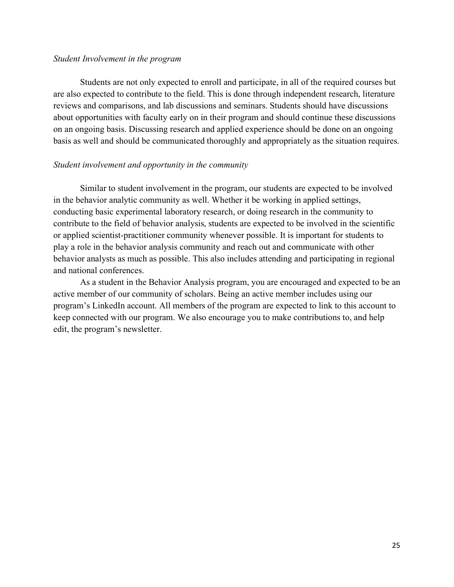#### *Student Involvement in the program*

Students are not only expected to enroll and participate, in all of the required courses but are also expected to contribute to the field. This is done through independent research, literature reviews and comparisons, and lab discussions and seminars. Students should have discussions about opportunities with faculty early on in their program and should continue these discussions on an ongoing basis. Discussing research and applied experience should be done on an ongoing basis as well and should be communicated thoroughly and appropriately as the situation requires.

#### *Student involvement and opportunity in the community*

Similar to student involvement in the program, our students are expected to be involved in the behavior analytic community as well. Whether it be working in applied settings, conducting basic experimental laboratory research, or doing research in the community to contribute to the field of behavior analysis, students are expected to be involved in the scientific or applied scientist-practitioner community whenever possible. It is important for students to play a role in the behavior analysis community and reach out and communicate with other behavior analysts as much as possible. This also includes attending and participating in regional and national conferences.

As a student in the Behavior Analysis program, you are encouraged and expected to be an active member of our community of scholars. Being an active member includes using our program's LinkedIn account. All members of the program are expected to link to this account to keep connected with our program. We also encourage you to make contributions to, and help edit, the program's newsletter.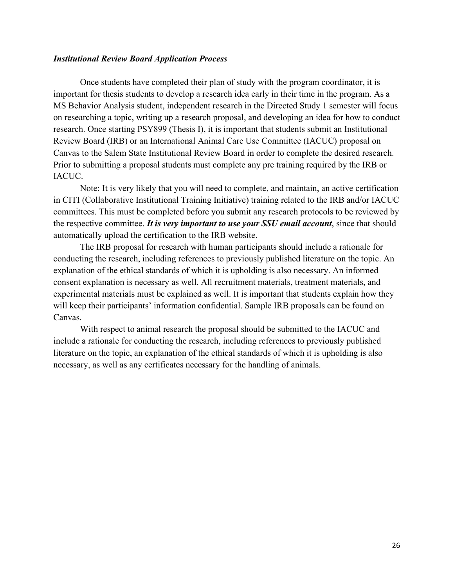#### <span id="page-25-0"></span>*Institutional Review Board Application Process*

Once students have completed their plan of study with the program coordinator, it is important for thesis students to develop a research idea early in their time in the program. As a MS Behavior Analysis student, independent research in the Directed Study 1 semester will focus on researching a topic, writing up a research proposal, and developing an idea for how to conduct research. Once starting PSY899 (Thesis I), it is important that students submit an Institutional Review Board (IRB) or an International Animal Care Use Committee (IACUC) proposal on Canvas to the Salem State Institutional Review Board in order to complete the desired research. Prior to submitting a proposal students must complete any pre training required by the IRB or IACUC.

Note: It is very likely that you will need to complete, and maintain, an active certification in CITI (Collaborative Institutional Training Initiative) training related to the IRB and/or IACUC committees. This must be completed before you submit any research protocols to be reviewed by the respective committee. *It is very important to use your SSU email account*, since that should automatically upload the certification to the IRB website.

The IRB proposal for research with human participants should include a rationale for conducting the research, including references to previously published literature on the topic. An explanation of the ethical standards of which it is upholding is also necessary. An informed consent explanation is necessary as well. All recruitment materials, treatment materials, and experimental materials must be explained as well. It is important that students explain how they will keep their participants' information confidential. Sample IRB proposals can be found on Canvas.

With respect to animal research the proposal should be submitted to the IACUC and include a rationale for conducting the research, including references to previously published literature on the topic, an explanation of the ethical standards of which it is upholding is also necessary, as well as any certificates necessary for the handling of animals.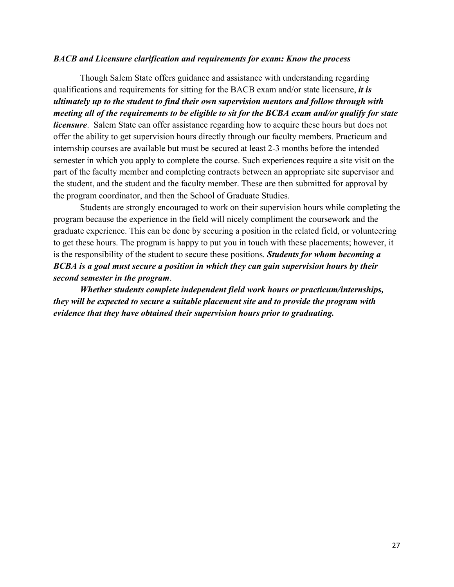#### <span id="page-26-0"></span>*BACB and Licensure clarification and requirements for exam: Know the process*

Though Salem State offers guidance and assistance with understanding regarding qualifications and requirements for sitting for the BACB exam and/or state licensure, *it is ultimately up to the student to find their own supervision mentors and follow through with meeting all of the requirements to be eligible to sit for the BCBA exam and/or qualify for state licensure*. Salem State can offer assistance regarding how to acquire these hours but does not offer the ability to get supervision hours directly through our faculty members. Practicum and internship courses are available but must be secured at least 2-3 months before the intended semester in which you apply to complete the course. Such experiences require a site visit on the part of the faculty member and completing contracts between an appropriate site supervisor and the student, and the student and the faculty member. These are then submitted for approval by the program coordinator, and then the School of Graduate Studies.

Students are strongly encouraged to work on their supervision hours while completing the program because the experience in the field will nicely compliment the coursework and the graduate experience. This can be done by securing a position in the related field, or volunteering to get these hours. The program is happy to put you in touch with these placements; however, it is the responsibility of the student to secure these positions. *Students for whom becoming a BCBA is a goal must secure a position in which they can gain supervision hours by their second semester in the program*.

*Whether students complete independent field work hours or practicum/internships, they will be expected to secure a suitable placement site and to provide the program with evidence that they have obtained their supervision hours prior to graduating.*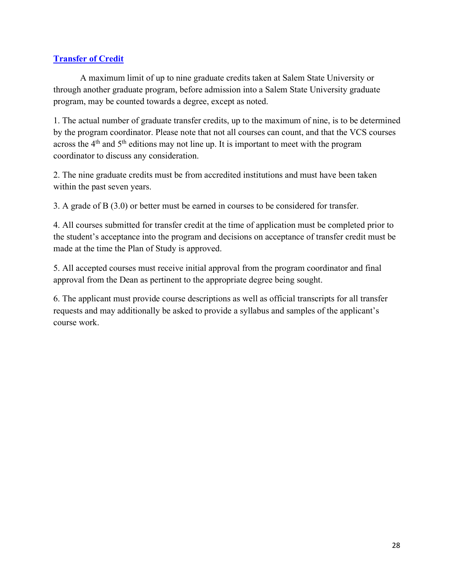# <span id="page-27-0"></span>**[Transfer of Credit](https://records.salemstate.edu/sites/records/files/policies/Graduate%20School%20Transfer%20Credit-2.pdf)**

A maximum limit of up to nine graduate credits taken at Salem State University or through another graduate program, before admission into a Salem State University graduate program, may be counted towards a degree, except as noted.

1. The actual number of graduate transfer credits, up to the maximum of nine, is to be determined by the program coordinator. Please note that not all courses can count, and that the VCS courses across the  $4<sup>th</sup>$  and  $5<sup>th</sup>$  editions may not line up. It is important to meet with the program coordinator to discuss any consideration.

2. The nine graduate credits must be from accredited institutions and must have been taken within the past seven years.

3. A grade of B (3.0) or better must be earned in courses to be considered for transfer.

4. All courses submitted for transfer credit at the time of application must be completed prior to the student's acceptance into the program and decisions on acceptance of transfer credit must be made at the time the Plan of Study is approved.

5. All accepted courses must receive initial approval from the program coordinator and final approval from the Dean as pertinent to the appropriate degree being sought.

6. The applicant must provide course descriptions as well as official transcripts for all transfer requests and may additionally be asked to provide a syllabus and samples of the applicant's course work.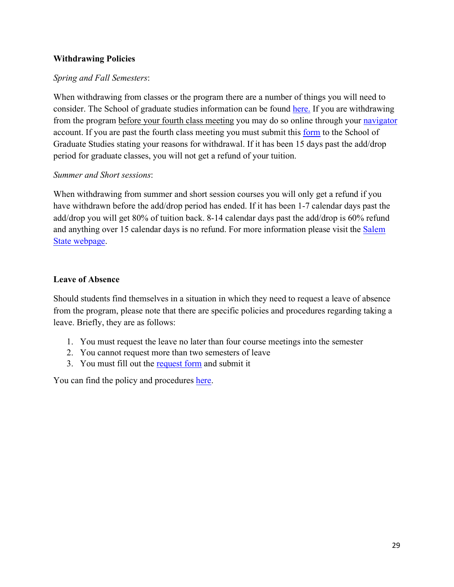# <span id="page-28-0"></span>**Withdrawing Policies**

# *Spring and Fall Semesters*:

When withdrawing from classes or the program there are a number of things you will need to consider. The School of graduate studies information can be found [here.](https://ask.salemstate.edu/kb/how-withdraw-graduate-course-request-refund) If you are withdrawing from the program before your fourth class meeting you may do so online through your [navigator](https://navigator.salemstate.edu/) account. If you are past the fourth class meeting you must submit this [form](https://ask.salemstate.edu/sites/ask/files/import/342_20170227142353_Registration_Change_Form.pdf) to the School of Graduate Studies stating your reasons for withdrawal. If it has been 15 days past the add/drop period for graduate classes, you will not get a refund of your tuition.

# *Summer and Short sessions*:

When withdrawing from summer and short session courses you will only get a refund if you have withdrawn before the add/drop period has ended. If it has been 1-7 calendar days past the add/drop you will get 80% of tuition back. 8-14 calendar days past the add/drop is 60% refund and anything over 15 calendar days is no refund. For more information please visit the [Salem](https://www.salemstate.edu/campus-life/student-navigation-center/student-accounts/refund-policy)  [State webpage.](https://www.salemstate.edu/campus-life/student-navigation-center/student-accounts/refund-policy)

# **Leave of Absence**

Should students find themselves in a situation in which they need to request a leave of absence from the program, please note that there are specific policies and procedures regarding taking a leave. Briefly, they are as follows:

- 1. You must request the leave no later than four course meetings into the semester
- 2. You cannot request more than two semesters of leave
- 3. You must fill out the [request form](https://ask.salemstate.edu/sites/ask/files/solution/attachments/go_leave_of_absenceForm.pdf) and submit it

You can find the policy and procedures [here.](https://ask.salemstate.edu/kb/what-graduate-leave-absence-policy)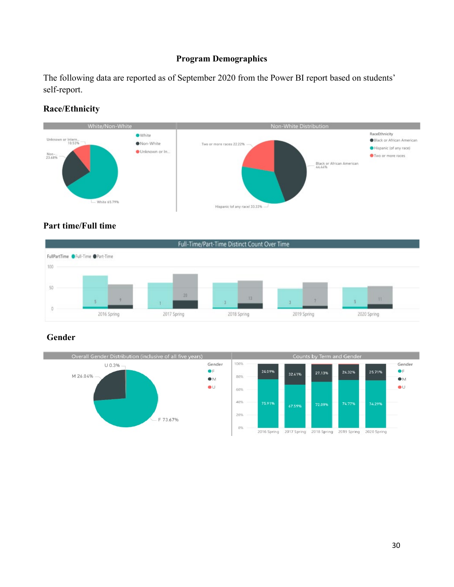# **Program Demographics**

<span id="page-29-0"></span>The following data are reported as of September 2020 from the Power BI report based on students' self-report.

# **Race/Ethnicity**



# **Part time/Full time**



# **Gender**

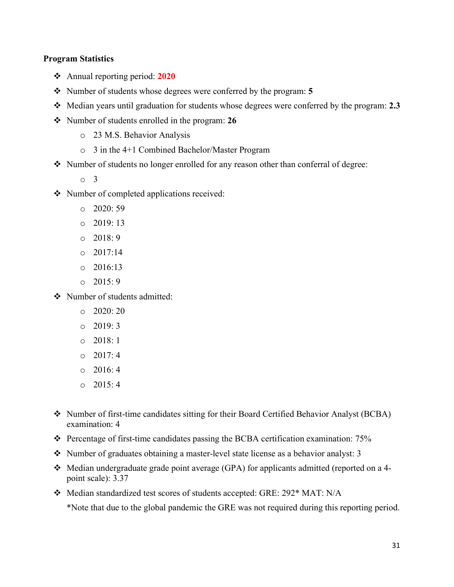#### <span id="page-30-0"></span>**Program Statistics**

- Annual reporting period: **2020**
- Number of students whose degrees were conferred by the program: **5**
- Median years until graduation for students whose degrees were conferred by the program: **2.3**
- Number of students enrolled in the program: **26**
	- o 23 M.S. Behavior Analysis
	- o 3 in the 4+1 Combined Bachelor/Master Program
- Number of students no longer enrolled for any reason other than conferral of degree:
	- o 3
- Number of completed applications received:
	- $O$  2020: 59
	- $O$  2019: 13
	- $\circ$  2018: 9
	- $O = 2017:14$
	- $02016:13$
	- $0.2015:9$

Number of students admitted:

- $\degree$  2020: 20
- $O$  2019: 3
- $\circ$  2018: 1
- $O$  2017: 4
- $\circ$  2016: 4
- o 2015: 4
- Number of first-time candidates sitting for their Board Certified Behavior Analyst (BCBA) examination: 4
- Percentage of first-time candidates passing the BCBA certification examination: 75%
- Number of graduates obtaining a master-level state license as a behavior analyst: 3
- $\triangleleft$  Median undergraduate grade point average (GPA) for applicants admitted (reported on a 4point scale): 3.37
- \* Median standardized test scores of students accepted: GRE: 292\* MAT: N/A

\*Note that due to the global pandemic the GRE was not required during this reporting period.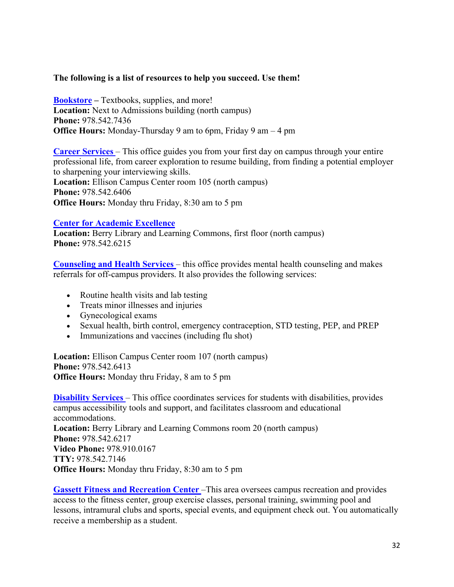#### <span id="page-31-0"></span>**The following is a list of resources to help you succeed. Use them!**

**[Bookstore](https://www.bkstr.com/salemstatestore/home?cm_mmc=RisePaidSearch&adcampaigngroup=%5BBookstore_RLSA%5D&kw=%2Bsalem%20%2Bstate%20%2Buniversity%20%2Bbook%20%2Bstore&AdCampaign=EFOL_198_Bookstore_Search_NonBrnd_Salem%20State%20University_Broad_RLSA&Adgroup=Bookstore&Source=AdWords&gclick=CjwKCAjwqML6BRAHEiwAdquMnRzzMOaBxFKxwogUbYOeQUjI2KLg4P-wBK_hIoGxo1hWQMgD_vo12RoCEZoQAvD_BwE&gclid=CjwKCAjwqML6BRAHEiwAdquMnRzzMOaBxFKxwogUbYOeQUjI2KLg4P-wBK_hIoGxo1hWQMgD_vo12RoCEZoQAvD_BwE&gclsrc=aw.ds) –** Textbooks, supplies, and more! **Location:** Next to Admissions building (north campus) **Phone:** 978.542.7436 **Office Hours:** Monday-Thursday 9 am to 6pm, Friday 9 am – 4 pm

**[Career Services](https://www.salemstate.edu/careers)** – This office guides you from your first day on campus through your entire professional life, from career exploration to resume building, from finding a potential employer to sharpening your interviewing skills. **Location:** Ellison Campus Center room 105 (north campus) **Phone:** 978.542.6406 **Office Hours:** Monday thru Friday, 8:30 am to 5 pm

#### **[Center for Academic Excellence](https://www.salemstate.edu/academics/centers/center-academic-excellence)**

**Location:** Berry Library and Learning Commons, first floor (north campus) **Phone:** 978.542.6215

**[Counseling and Health Services](https://www.salemstate.edu/chs)** – this office provides mental health counseling and makes referrals for off-campus providers. It also provides the following services:

- Routine health visits and lab testing
- Treats minor illnesses and injuries
- Gynecological exams
- Sexual health, birth control, emergency contraception, STD testing, PEP, and PREP
- Immunizations and vaccines (including flu shot)

**Location:** Ellison Campus Center room 107 (north campus) **Phone:** 978.542.6413 **Office Hours:** Monday thru Friday, 8 am to 5 pm

**[Disability Services](https://www.salemstate.edu/disability-services)** – This office coordinates services for students with disabilities, provides campus accessibility tools and support, and facilitates classroom and educational accommodations. **Location:** Berry Library and Learning Commons room 20 (north campus) **Phone:** 978.542.6217 **Video Phone:** 978.910.0167 **TTY:** 978.542.7146 **Office Hours:** Monday thru Friday, 8:30 am to 5 pm

**[Gassett Fitness and Recreation Center](https://www.salemstate.edu/campusrec)** –This area oversees campus recreation and provides access to the fitness center, group exercise classes, personal training, swimming pool and lessons, intramural clubs and sports, special events, and equipment check out. You automatically receive a membership as a student.